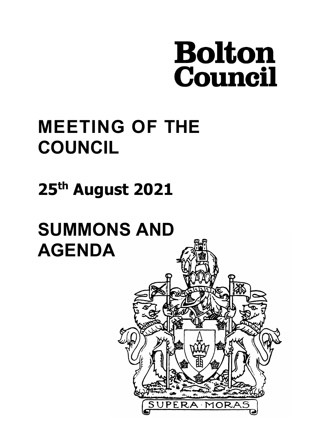# **Bolton<br>Council**

PERA MOI

# **MEETING OF THE COUNCIL**

# **25th August 2021**

# **SUMMONS AND AGENDA**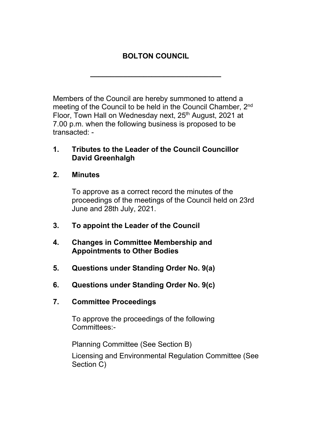# **BOLTON COUNCIL**

**\_\_\_\_\_\_\_\_\_\_\_\_\_\_\_\_\_\_\_\_\_\_\_\_\_\_\_\_\_\_\_\_**

Members of the Council are hereby summoned to attend a meeting of the Council to be held in the Council Chamber, 2<sup>nd</sup> Floor, Town Hall on Wednesday next, 25<sup>th</sup> August, 2021 at 7.00 p.m. when the following business is proposed to be transacted: -

# **1. Tributes to the Leader of the Council Councillor David Greenhalgh**

**2. Minutes**

To approve as a correct record the minutes of the proceedings of the meetings of the Council held on 23rd June and 28th July, 2021.

- **3. To appoint the Leader of the Council**
- **4. Changes in Committee Membership and Appointments to Other Bodies**
- **5. Questions under Standing Order No. 9(a)**
- **6. Questions under Standing Order No. 9(c)**
- **7. Committee Proceedings**

To approve the proceedings of the following Committees:-

Planning Committee (See Section B)

Licensing and Environmental Regulation Committee (See Section C)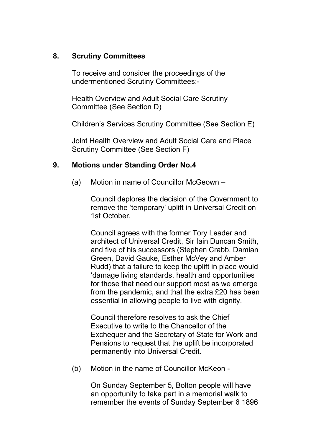# **8. Scrutiny Committees**

To receive and consider the proceedings of the undermentioned Scrutiny Committees:-

Health Overview and Adult Social Care Scrutiny Committee (See Section D)

Children's Services Scrutiny Committee (See Section E)

Joint Health Overview and Adult Social Care and Place Scrutiny Committee (See Section F)

# **9. Motions under Standing Order No.4**

(a) Motion in name of Councillor McGeown –

Council deplores the decision of the Government to remove the 'temporary' uplift in Universal Credit on 1st October.

Council agrees with the former Tory Leader and architect of Universal Credit, Sir Iain Duncan Smith, and five of his successors (Stephen Crabb, Damian Green, David Gauke, Esther McVey and Amber Rudd) that a failure to keep the uplift in place would 'damage living standards, health and opportunities for those that need our support most as we emerge from the pandemic, and that the extra £20 has been essential in allowing people to live with dignity.

Council therefore resolves to ask the Chief Executive to write to the Chancellor of the Exchequer and the Secretary of State for Work and Pensions to request that the uplift be incorporated permanently into Universal Credit.

(b) Motion in the name of Councillor McKeon -

On Sunday September 5, Bolton people will have an opportunity to take part in a memorial walk to remember the events of Sunday September 6 1896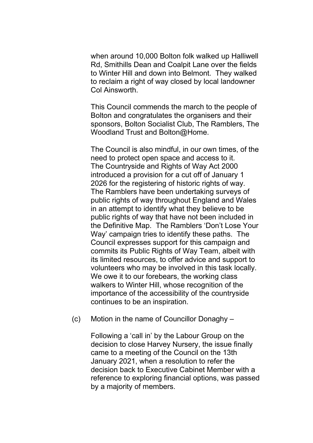when around 10,000 Bolton folk walked up Halliwell Rd, Smithills Dean and Coalpit Lane over the fields to Winter Hill and down into Belmont. They walked to reclaim a right of way closed by local landowner Col Ainsworth.

This Council commends the march to the people of Bolton and congratulates the organisers and their sponsors, Bolton Socialist Club, The Ramblers, The Woodland Trust and Bolton@Home.

The Council is also mindful, in our own times, of the need to protect open space and access to it. The Countryside and Rights of Way Act 2000 introduced a provision for a cut off of January 1 2026 for the registering of historic rights of way. The Ramblers have been undertaking surveys of public rights of way throughout England and Wales in an attempt to identify what they believe to be public rights of way that have not been included in the Definitive Map. The Ramblers 'Don't Lose Your Way' campaign tries to identify these paths. The Council expresses support for this campaign and commits its Public Rights of Way Team, albeit with its limited resources, to offer advice and support to volunteers who may be involved in this task locally. We owe it to our forebears, the working class walkers to Winter Hill, whose recognition of the importance of the accessibility of the countryside continues to be an inspiration.

(c) Motion in the name of Councillor Donaghy –

Following a 'call in' by the Labour Group on the decision to close Harvey Nursery, the issue finally came to a meeting of the Council on the 13th January 2021, when a resolution to refer the decision back to Executive Cabinet Member with a reference to exploring financial options, was passed by a majority of members.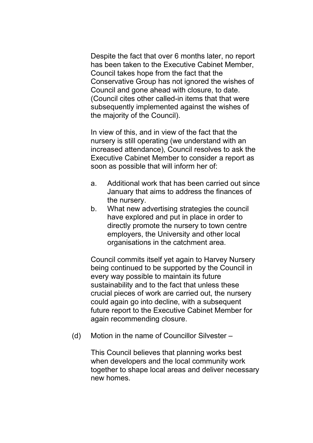Despite the fact that over 6 months later, no report has been taken to the Executive Cabinet Member, Council takes hope from the fact that the Conservative Group has not ignored the wishes of Council and gone ahead with closure, to date. (Council cites other called-in items that that were subsequently implemented against the wishes of the majority of the Council).

In view of this, and in view of the fact that the nursery is still operating (we understand with an increased attendance), Council resolves to ask the Executive Cabinet Member to consider a report as soon as possible that will inform her of:

- a. Additional work that has been carried out since January that aims to address the finances of the nursery.
- b. What new advertising strategies the council have explored and put in place in order to directly promote the nursery to town centre employers, the University and other local organisations in the catchment area.

Council commits itself yet again to Harvey Nursery being continued to be supported by the Council in every way possible to maintain its future sustainability and to the fact that unless these crucial pieces of work are carried out, the nursery could again go into decline, with a subsequent future report to the Executive Cabinet Member for again recommending closure.

(d) Motion in the name of Councillor Silvester –

This Council believes that planning works best when developers and the local community work together to shape local areas and deliver necessary new homes.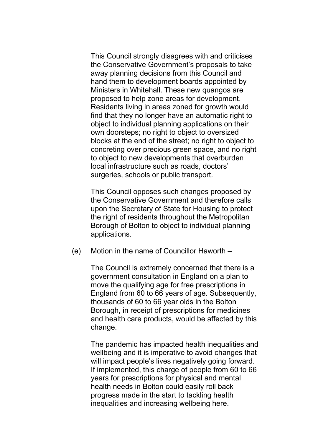This Council strongly disagrees with and criticises the Conservative Government's proposals to take away planning decisions from this Council and hand them to development boards appointed by Ministers in Whitehall. These new quangos are proposed to help zone areas for development. Residents living in areas zoned for growth would find that they no longer have an automatic right to object to individual planning applications on their own doorsteps; no right to object to oversized blocks at the end of the street; no right to object to concreting over precious green space, and no right to object to new developments that overburden local infrastructure such as roads, doctors' surgeries, schools or public transport.

This Council opposes such changes proposed by the Conservative Government and therefore calls upon the Secretary of State for Housing to protect the right of residents throughout the Metropolitan Borough of Bolton to object to individual planning applications.

(e) Motion in the name of Councillor Haworth –

The Council is extremely concerned that there is a government consultation in England on a plan to move the qualifying age for free prescriptions in England from 60 to 66 years of age. Subsequently, thousands of 60 to 66 year olds in the Bolton Borough, in receipt of prescriptions for medicines and health care products, would be affected by this change.

The pandemic has impacted health inequalities and wellbeing and it is imperative to avoid changes that will impact people's lives negatively going forward. If implemented, this charge of people from 60 to 66 years for prescriptions for physical and mental health needs in Bolton could easily roll back progress made in the start to tackling health inequalities and increasing wellbeing here.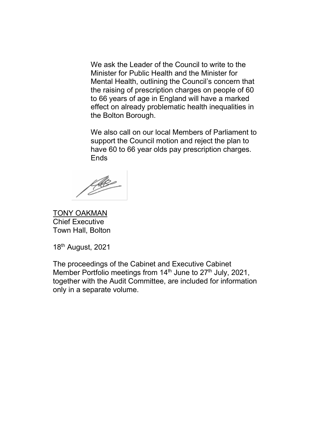We ask the Leader of the Council to write to the Minister for Public Health and the Minister for Mental Health, outlining the Council's concern that the raising of prescription charges on people of 60 to 66 years of age in England will have a marked effect on already problematic health inequalities in the Bolton Borough.

We also call on our local Members of Parliament to support the Council motion and reject the plan to have 60 to 66 year olds pay prescription charges. Ends

fle

TONY OAKMAN Chief Executive Town Hall, Bolton

18th August, 2021

The proceedings of the Cabinet and Executive Cabinet Member Portfolio meetings from 14<sup>th</sup> June to 27<sup>th</sup> July, 2021, together with the Audit Committee, are included for information only in a separate volume.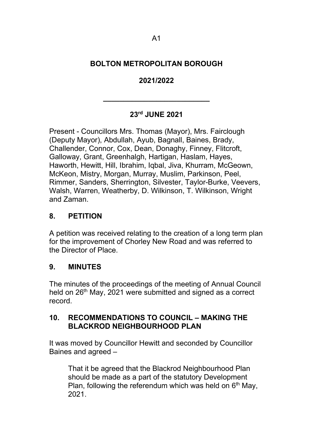# **BOLTON METROPOLITAN BOROUGH**

# **2021/2022**

# **23rd JUNE 2021**

**\_\_\_\_\_\_\_\_\_\_\_\_\_\_\_\_\_\_\_\_\_\_\_\_\_\_**

Present - Councillors Mrs. Thomas (Mayor), Mrs. Fairclough (Deputy Mayor), Abdullah, Ayub, Bagnall, Baines, Brady, Challender, Connor, Cox, Dean, Donaghy, Finney, Flitcroft, Galloway, Grant, Greenhalgh, Hartigan, Haslam, Hayes, Haworth, Hewitt, Hill, Ibrahim, Iqbal, Jiva, Khurram, McGeown, McKeon, Mistry, Morgan, Murray, Muslim, Parkinson, Peel, Rimmer, Sanders, Sherrington, Silvester, Taylor-Burke, Veevers, Walsh, Warren, Weatherby, D. Wilkinson, T. Wilkinson, Wright and Zaman.

# **8. PETITION**

A petition was received relating to the creation of a long term plan for the improvement of Chorley New Road and was referred to the Director of Place.

#### **9. MINUTES**

The minutes of the proceedings of the meeting of Annual Council held on 26<sup>th</sup> May, 2021 were submitted and signed as a correct record.

#### **10. RECOMMENDATIONS TO COUNCIL – MAKING THE BLACKROD NEIGHBOURHOOD PLAN**

It was moved by Councillor Hewitt and seconded by Councillor Baines and agreed –

That it be agreed that the Blackrod Neighbourhood Plan should be made as a part of the statutory Development Plan, following the referendum which was held on  $6<sup>th</sup>$  May, 2021.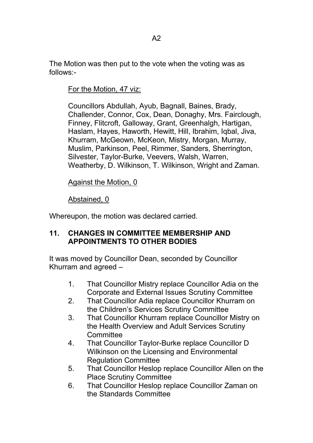The Motion was then put to the vote when the voting was as follows:-

For the Motion, 47 viz:

Councillors Abdullah, Ayub, Bagnall, Baines, Brady, Challender, Connor, Cox, Dean, Donaghy, Mrs. Fairclough, Finney, Flitcroft, Galloway, Grant, Greenhalgh, Hartigan, Haslam, Hayes, Haworth, Hewitt, Hill, Ibrahim, Iqbal, Jiva, Khurram, McGeown, McKeon, Mistry, Morgan, Murray, Muslim, Parkinson, Peel, Rimmer, Sanders, Sherrington, Silvester, Taylor-Burke, Veevers, Walsh, Warren, Weatherby, D. Wilkinson, T. Wilkinson, Wright and Zaman.

Against the Motion, 0

Abstained, 0

Whereupon, the motion was declared carried.

# **11. CHANGES IN COMMITTEE MEMBERSHIP AND APPOINTMENTS TO OTHER BODIES**

It was moved by Councillor Dean, seconded by Councillor Khurram and agreed –

- 1. That Councillor Mistry replace Councillor Adia on the Corporate and External Issues Scrutiny Committee
- 2. That Councillor Adia replace Councillor Khurram on the Children's Services Scrutiny Committee
- 3. That Councillor Khurram replace Councillor Mistry on the Health Overview and Adult Services Scrutiny **Committee**
- 4. That Councillor Taylor-Burke replace Councillor D Wilkinson on the Licensing and Environmental Regulation Committee
- 5. That Councillor Heslop replace Councillor Allen on the Place Scrutiny Committee
- 6. That Councillor Heslop replace Councillor Zaman on the Standards Committee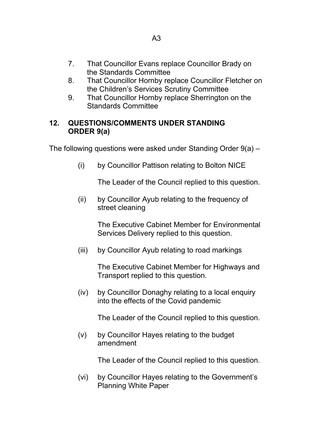- 7. That Councillor Evans replace Councillor Brady on the Standards Committee
- 8. That Councillor Hornby replace Councillor Fletcher on the Children's Services Scrutiny Committee
- 9. That Councillor Hornby replace Sherrington on the Standards Committee

# **12. QUESTIONS/COMMENTS UNDER STANDING ORDER 9(a)**

The following questions were asked under Standing Order 9(a) –

(i) by Councillor Pattison relating to Bolton NICE

The Leader of the Council replied to this question.

(ii) by Councillor Ayub relating to the frequency of street cleaning

> The Executive Cabinet Member for Environmental Services Delivery replied to this question.

(iii) by Councillor Ayub relating to road markings

The Executive Cabinet Member for Highways and Transport replied to this question.

(iv) by Councillor Donaghy relating to a local enquiry into the effects of the Covid pandemic

The Leader of the Council replied to this question.

(v) by Councillor Hayes relating to the budget amendment

The Leader of the Council replied to this question.

(vi) by Councillor Hayes relating to the Government's Planning White Paper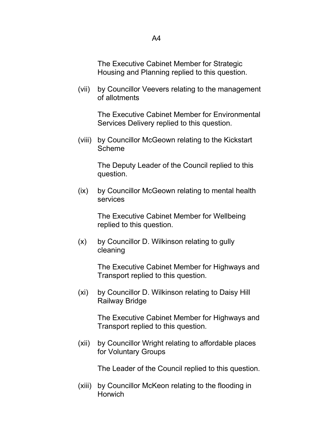The Executive Cabinet Member for Strategic Housing and Planning replied to this question.

(vii) by Councillor Veevers relating to the management of allotments

> The Executive Cabinet Member for Environmental Services Delivery replied to this question.

(viii) by Councillor McGeown relating to the Kickstart Scheme

> The Deputy Leader of the Council replied to this question.

(ix) by Councillor McGeown relating to mental health services

> The Executive Cabinet Member for Wellbeing replied to this question.

(x) by Councillor D. Wilkinson relating to gully cleaning

> The Executive Cabinet Member for Highways and Transport replied to this question.

(xi) by Councillor D. Wilkinson relating to Daisy Hill Railway Bridge

> The Executive Cabinet Member for Highways and Transport replied to this question.

(xii) by Councillor Wright relating to affordable places for Voluntary Groups

The Leader of the Council replied to this question.

(xiii) by Councillor McKeon relating to the flooding in **Horwich**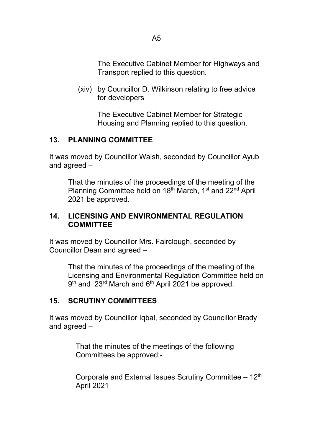The Executive Cabinet Member for Highways and Transport replied to this question.

(xiv) by Councillor D. Wilkinson relating to free advice for developers

> The Executive Cabinet Member for Strategic Housing and Planning replied to this question.

# **13. PLANNING COMMITTEE**

It was moved by Councillor Walsh, seconded by Councillor Ayub and agreed –

That the minutes of the proceedings of the meeting of the Planning Committee held on 18<sup>th</sup> March, 1<sup>st</sup> and 22<sup>nd</sup> April 2021 be approved.

# **14. LICENSING AND ENVIRONMENTAL REGULATION COMMITTEE**

It was moved by Councillor Mrs. Fairclough, seconded by Councillor Dean and agreed –

That the minutes of the proceedings of the meeting of the Licensing and Environmental Regulation Committee held on 9<sup>th</sup> and 23<sup>rd</sup> March and 6<sup>th</sup> April 2021 be approved.

# **15. SCRUTINY COMMITTEES**

It was moved by Councillor Iqbal, seconded by Councillor Brady and agreed –

> That the minutes of the meetings of the following Committees be approved:-

Corporate and External Issues Scrutiny Committee  $-12<sup>th</sup>$ April 2021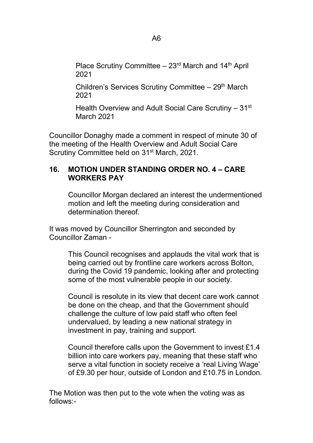Place Scrutiny Committee  $-23$ <sup>rd</sup> March and 14<sup>th</sup> April 2021

Children's Services Scrutiny Committee  $-29<sup>th</sup>$  March 2021

Health Overview and Adult Social Care Scrutiny – 31<sup>st</sup> March 2021

Councillor Donaghy made a comment in respect of minute 30 of the meeting of the Health Overview and Adult Social Care Scrutiny Committee held on 31<sup>st</sup> March, 2021.

# **16. MOTION UNDER STANDING ORDER NO. 4 – CARE WORKERS PAY**

Councillor Morgan declared an interest the undermentioned motion and left the meeting during consideration and determination thereof.

It was moved by Councillor Sherrington and seconded by Councillor Zaman -

> This Council recognises and applauds the vital work that is being carried out by frontline care workers across Bolton, during the Covid 19 pandemic, looking after and protecting some of the most vulnerable people in our society.

> Council is resolute in its view that decent care work cannot be done on the cheap, and that the Government should challenge the culture of low paid staff who often feel undervalued, by leading a new national strategy in investment in pay, training and support.

Council therefore calls upon the Government to invest £1.4 billion into care workers pay, meaning that these staff who serve a vital function in society receive a 'real Living Wage' of £9.30 per hour, outside of London and £10.75 in London.

The Motion was then put to the vote when the voting was as follows:-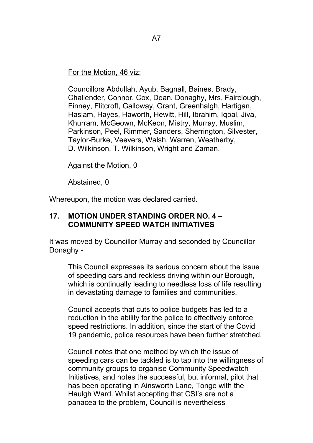#### For the Motion, 46 viz:

Councillors Abdullah, Ayub, Bagnall, Baines, Brady, Challender, Connor, Cox, Dean, Donaghy, Mrs. Fairclough, Finney, Flitcroft, Galloway, Grant, Greenhalgh, Hartigan, Haslam, Hayes, Haworth, Hewitt, Hill, Ibrahim, Iqbal, Jiva, Khurram, McGeown, McKeon, Mistry, Murray, Muslim, Parkinson, Peel, Rimmer, Sanders, Sherrington, Silvester, Taylor-Burke, Veevers, Walsh, Warren, Weatherby, D. Wilkinson, T. Wilkinson, Wright and Zaman.

#### Against the Motion, 0

#### Abstained, 0

Whereupon, the motion was declared carried.

#### **17. MOTION UNDER STANDING ORDER NO. 4 – COMMUNITY SPEED WATCH INITIATIVES**

It was moved by Councillor Murray and seconded by Councillor Donaghy -

This Council expresses its serious concern about the issue of speeding cars and reckless driving within our Borough, which is continually leading to needless loss of life resulting in devastating damage to families and communities.

Council accepts that cuts to police budgets has led to a reduction in the ability for the police to effectively enforce speed restrictions. In addition, since the start of the Covid 19 pandemic, police resources have been further stretched.

Council notes that one method by which the issue of speeding cars can be tackled is to tap into the willingness of community groups to organise Community Speedwatch Initiatives, and notes the successful, but informal, pilot that has been operating in Ainsworth Lane, Tonge with the Haulgh Ward. Whilst accepting that CSI's are not a panacea to the problem, Council is nevertheless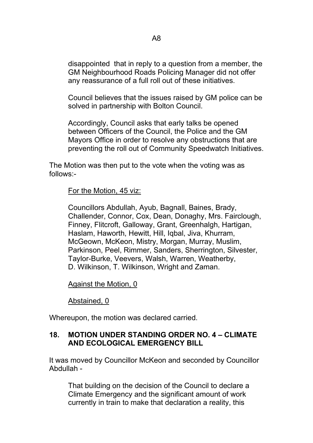disappointed that in reply to a question from a member, the GM Neighbourhood Roads Policing Manager did not offer any reassurance of a full roll out of these initiatives.

Council believes that the issues raised by GM police can be solved in partnership with Bolton Council.

Accordingly, Council asks that early talks be opened between Officers of the Council, the Police and the GM Mayors Office in order to resolve any obstructions that are preventing the roll out of Community Speedwatch Initiatives.

The Motion was then put to the vote when the voting was as follows:-

For the Motion, 45 viz:

Councillors Abdullah, Ayub, Bagnall, Baines, Brady, Challender, Connor, Cox, Dean, Donaghy, Mrs. Fairclough, Finney, Flitcroft, Galloway, Grant, Greenhalgh, Hartigan, Haslam, Haworth, Hewitt, Hill, Iqbal, Jiva, Khurram, McGeown, McKeon, Mistry, Morgan, Murray, Muslim, Parkinson, Peel, Rimmer, Sanders, Sherrington, Silvester, Taylor-Burke, Veevers, Walsh, Warren, Weatherby, D. Wilkinson, T. Wilkinson, Wright and Zaman.

Against the Motion, 0

Abstained, 0

Whereupon, the motion was declared carried.

# **18. MOTION UNDER STANDING ORDER NO. 4 – CLIMATE AND ECOLOGICAL EMERGENCY BILL**

It was moved by Councillor McKeon and seconded by Councillor Abdullah -

That building on the decision of the Council to declare a Climate Emergency and the significant amount of work currently in train to make that declaration a reality, this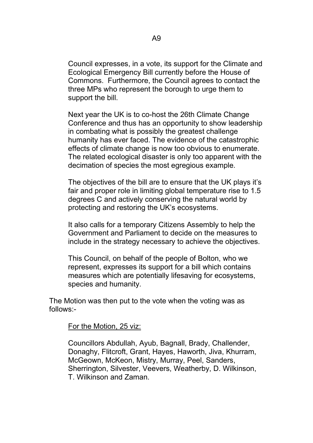Council expresses, in a vote, its support for the Climate and Ecological Emergency Bill currently before the House of Commons. Furthermore, the Council agrees to contact the three MPs who represent the borough to urge them to support the bill.

Next year the UK is to co-host the 26th Climate Change Conference and thus has an opportunity to show leadership in combating what is possibly the greatest challenge humanity has ever faced. The evidence of the catastrophic effects of climate change is now too obvious to enumerate. The related ecological disaster is only too apparent with the decimation of species the most egregious example.

The objectives of the bill are to ensure that the UK plays it's fair and proper role in limiting global temperature rise to 1.5 degrees C and actively conserving the natural world by protecting and restoring the UK's ecosystems.

It also calls for a temporary Citizens Assembly to help the Government and Parliament to decide on the measures to include in the strategy necessary to achieve the objectives.

This Council, on behalf of the people of Bolton, who we represent, expresses its support for a bill which contains measures which are potentially lifesaving for ecosystems, species and humanity.

The Motion was then put to the vote when the voting was as follows:-

#### For the Motion, 25 viz:

Councillors Abdullah, Ayub, Bagnall, Brady, Challender, Donaghy, Flitcroft, Grant, Hayes, Haworth, Jiva, Khurram, McGeown, McKeon, Mistry, Murray, Peel, Sanders, Sherrington, Silvester, Veevers, Weatherby, D. Wilkinson, T. Wilkinson and Zaman.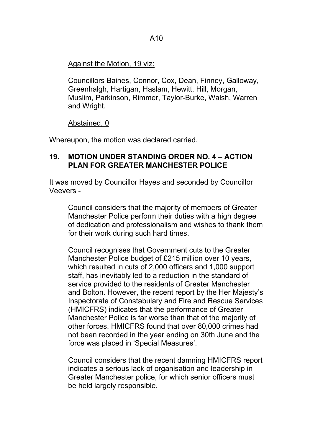# Against the Motion, 19 viz:

Councillors Baines, Connor, Cox, Dean, Finney, Galloway, Greenhalgh, Hartigan, Haslam, Hewitt, Hill, Morgan, Muslim, Parkinson, Rimmer, Taylor-Burke, Walsh, Warren and Wright.

Abstained, 0

Whereupon, the motion was declared carried.

#### **19. MOTION UNDER STANDING ORDER NO. 4 – ACTION PLAN FOR GREATER MANCHESTER POLICE**

It was moved by Councillor Hayes and seconded by Councillor Veevers -

Council considers that the majority of members of Greater Manchester Police perform their duties with a high degree of dedication and professionalism and wishes to thank them for their work during such hard times.

Council recognises that Government cuts to the Greater Manchester Police budget of £215 million over 10 years, which resulted in cuts of 2,000 officers and 1,000 support staff, has inevitably led to a reduction in the standard of service provided to the residents of Greater Manchester and Bolton. However, the recent report by the Her Majesty's Inspectorate of Constabulary and Fire and Rescue Services (HMICFRS) indicates that the performance of Greater Manchester Police is far worse than that of the majority of other forces. HMICFRS found that over 80,000 crimes had not been recorded in the year ending on 30th June and the force was placed in 'Special Measures'.

Council considers that the recent damning HMICFRS report indicates a serious lack of organisation and leadership in Greater Manchester police, for which senior officers must be held largely responsible.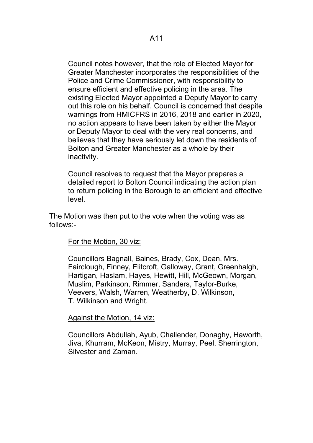Council notes however, that the role of Elected Mayor for Greater Manchester incorporates the responsibilities of the Police and Crime Commissioner, with responsibility to ensure efficient and effective policing in the area. The existing Elected Mayor appointed a Deputy Mayor to carry out this role on his behalf. Council is concerned that despite warnings from HMICFRS in 2016, 2018 and earlier in 2020, no action appears to have been taken by either the Mayor or Deputy Mayor to deal with the very real concerns, and believes that they have seriously let down the residents of Bolton and Greater Manchester as a whole by their inactivity.

Council resolves to request that the Mayor prepares a detailed report to Bolton Council indicating the action plan to return policing in the Borough to an efficient and effective level.

The Motion was then put to the vote when the voting was as follows:-

# For the Motion, 30 viz:

Councillors Bagnall, Baines, Brady, Cox, Dean, Mrs. Fairclough, Finney, Flitcroft, Galloway, Grant, Greenhalgh, Hartigan, Haslam, Hayes, Hewitt, Hill, McGeown, Morgan, Muslim, Parkinson, Rimmer, Sanders, Taylor-Burke, Veevers, Walsh, Warren, Weatherby, D. Wilkinson, T. Wilkinson and Wright.

# Against the Motion, 14 viz:

Councillors Abdullah, Ayub, Challender, Donaghy, Haworth, Jiva, Khurram, McKeon, Mistry, Murray, Peel, Sherrington, Silvester and Zaman.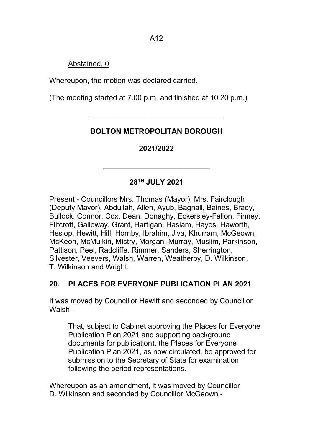A12

# Abstained, 0

Whereupon, the motion was declared carried.

(The meeting started at 7.00 p.m. and finished at 10.20 p.m.)

# **BOLTON METROPOLITAN BOROUGH**

\_\_\_\_\_\_\_\_\_\_\_\_\_\_\_\_\_\_\_\_\_\_\_\_\_\_\_\_\_\_\_\_\_

# **2021/2022**

# **28TH JULY 2021**

**\_\_\_\_\_\_\_\_\_\_\_\_\_\_\_\_\_\_\_\_\_\_\_\_\_\_**

Present - Councillors Mrs. Thomas (Mayor), Mrs. Fairclough (Deputy Mayor), Abdullah, Allen, Ayub, Bagnall, Baines, Brady, Bullock, Connor, Cox, Dean, Donaghy, Eckersley-Fallon, Finney, Flitcroft, Galloway, Grant, Hartigan, Haslam, Hayes, Haworth, Heslop, Hewitt, Hill, Hornby, Ibrahim, Jiva, Khurram, McGeown, McKeon, McMulkin, Mistry, Morgan, Murray, Muslim, Parkinson, Pattison, Peel, Radcliffe, Rimmer, Sanders, Sherrington, Silvester, Veevers, Walsh, Warren, Weatherby, D. Wilkinson, T. Wilkinson and Wright.

# **20. PLACES FOR EVERYONE PUBLICATION PLAN 2021**

It was moved by Councillor Hewitt and seconded by Councillor Walsh -

That, subject to Cabinet approving the Places for Everyone Publication Plan 2021 and supporting background documents for publication), the Places for Everyone Publication Plan 2021, as now circulated, be approved for submission to the Secretary of State for examination following the period representations.

Whereupon as an amendment, it was moved by Councillor D. Wilkinson and seconded by Councillor McGeown -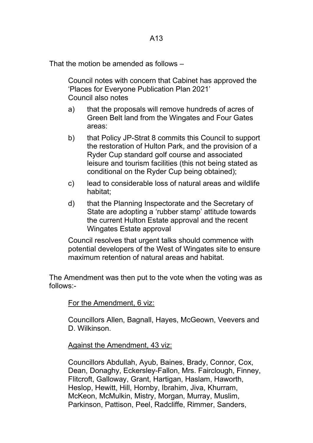That the motion be amended as follows –

Council notes with concern that Cabinet has approved the 'Places for Everyone Publication Plan 2021' Council also notes

- a) that the proposals will remove hundreds of acres of Green Belt land from the Wingates and Four Gates areas:
- b) that Policy JP-Strat 8 commits this Council to support the restoration of Hulton Park, and the provision of a Ryder Cup standard golf course and associated leisure and tourism facilities (this not being stated as conditional on the Ryder Cup being obtained);
- c) lead to considerable loss of natural areas and wildlife habitat;
- d) that the Planning Inspectorate and the Secretary of State are adopting a 'rubber stamp' attitude towards the current Hulton Estate approval and the recent Wingates Estate approval

Council resolves that urgent talks should commence with potential developers of the West of Wingates site to ensure maximum retention of natural areas and habitat.

The Amendment was then put to the vote when the voting was as follows:-

For the Amendment, 6 viz:

Councillors Allen, Bagnall, Hayes, McGeown, Veevers and D. Wilkinson.

Against the Amendment, 43 viz:

Councillors Abdullah, Ayub, Baines, Brady, Connor, Cox, Dean, Donaghy, Eckersley-Fallon, Mrs. Fairclough, Finney, Flitcroft, Galloway, Grant, Hartigan, Haslam, Haworth, Heslop, Hewitt, Hill, Hornby, Ibrahim, Jiva, Khurram, McKeon, McMulkin, Mistry, Morgan, Murray, Muslim, Parkinson, Pattison, Peel, Radcliffe, Rimmer, Sanders,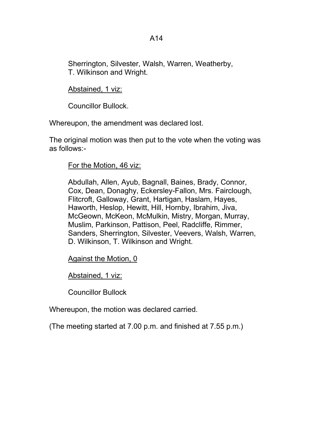Sherrington, Silvester, Walsh, Warren, Weatherby, T. Wilkinson and Wright.

Abstained, 1 viz:

Councillor Bullock.

Whereupon, the amendment was declared lost.

The original motion was then put to the vote when the voting was as follows:-

# For the Motion, 46 viz:

Abdullah, Allen, Ayub, Bagnall, Baines, Brady, Connor, Cox, Dean, Donaghy, Eckersley-Fallon, Mrs. Fairclough, Flitcroft, Galloway, Grant, Hartigan, Haslam, Hayes, Haworth, Heslop, Hewitt, Hill, Hornby, Ibrahim, Jiva, McGeown, McKeon, McMulkin, Mistry, Morgan, Murray, Muslim, Parkinson, Pattison, Peel, Radcliffe, Rimmer, Sanders, Sherrington, Silvester, Veevers, Walsh, Warren, D. Wilkinson, T. Wilkinson and Wright.

Against the Motion, 0

Abstained, 1 viz:

Councillor Bullock

Whereupon, the motion was declared carried.

(The meeting started at 7.00 p.m. and finished at 7.55 p.m.)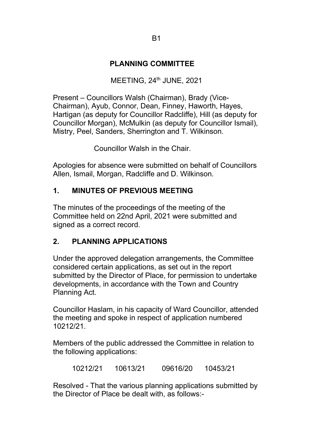# **PLANNING COMMITTEE**

#### MEETING,  $24<sup>th</sup>$  JUNE,  $2021$

Present – Councillors Walsh (Chairman), Brady (Vice-Chairman), Ayub, Connor, Dean, Finney, Haworth, Hayes, Hartigan (as deputy for Councillor Radcliffe), Hill (as deputy for Councillor Morgan), McMulkin (as deputy for Councillor Ismail), Mistry, Peel, Sanders, Sherrington and T. Wilkinson.

Councillor Walsh in the Chair.

Apologies for absence were submitted on behalf of Councillors Allen, Ismail, Morgan, Radcliffe and D. Wilkinson.

# **1. MINUTES OF PREVIOUS MEETING**

The minutes of the proceedings of the meeting of the Committee held on 22nd April, 2021 were submitted and signed as a correct record.

# **2. PLANNING APPLICATIONS**

Under the approved delegation arrangements, the Committee considered certain applications, as set out in the report submitted by the Director of Place, for permission to undertake developments, in accordance with the Town and Country Planning Act.

Councillor Haslam, in his capacity of Ward Councillor, attended the meeting and spoke in respect of application numbered 10212/21.

Members of the public addressed the Committee in relation to the following applications:

10212/21 10613/21 09616/20 10453/21

Resolved - That the various planning applications submitted by the Director of Place be dealt with, as follows:-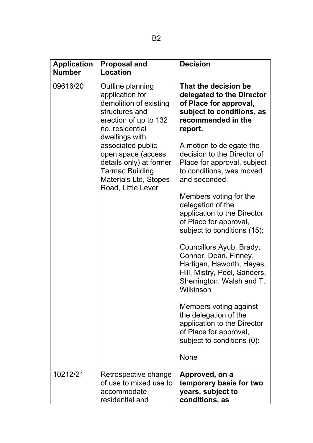| <b>Application</b><br><b>Number</b> | <b>Proposal and</b><br>Location                                                                                                                                                                                                                                                                     | <b>Decision</b>                                                                                                                                                                                                                                                                                                                                                                                                                                                                                                                                                                                                                                                                                                                              |
|-------------------------------------|-----------------------------------------------------------------------------------------------------------------------------------------------------------------------------------------------------------------------------------------------------------------------------------------------------|----------------------------------------------------------------------------------------------------------------------------------------------------------------------------------------------------------------------------------------------------------------------------------------------------------------------------------------------------------------------------------------------------------------------------------------------------------------------------------------------------------------------------------------------------------------------------------------------------------------------------------------------------------------------------------------------------------------------------------------------|
| 09616/20                            | Outline planning<br>application for<br>demolition of existing<br>structures and<br>erection of up to 132<br>no. residential<br>dwellings with<br>associated public<br>open space (access<br>details only) at former<br><b>Tarmac Building</b><br><b>Materials Ltd, Stopes</b><br>Road, Little Lever | That the decision be<br>delegated to the Director<br>of Place for approval,<br>subject to conditions, as<br>recommended in the<br>report.<br>A motion to delegate the<br>decision to the Director of<br>Place for approval, subject<br>to conditions, was moved<br>and seconded.<br>Members voting for the<br>delegation of the<br>application to the Director<br>of Place for approval,<br>subject to conditions (15):<br>Councillors Ayub, Brady,<br>Connor, Dean, Finney,<br>Hartigan, Haworth, Hayes,<br>Hill, Mistry, Peel, Sanders,<br>Sherrington, Walsh and T.<br>Wilkinson<br>Members voting against<br>the delegation of the<br>application to the Director<br>of Place for approval,<br>subject to conditions (0):<br><b>None</b> |
| 10212/21                            | Retrospective change<br>of use to mixed use to<br>accommodate<br>residential and                                                                                                                                                                                                                    | Approved, on a<br>temporary basis for two<br>years, subject to<br>conditions, as                                                                                                                                                                                                                                                                                                                                                                                                                                                                                                                                                                                                                                                             |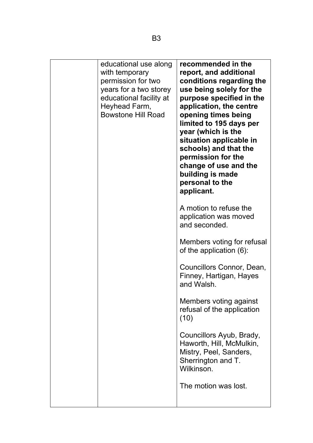|  | educational use along<br>with temporary<br>permission for two<br>years for a two storey<br>educational facility at<br>Heyhead Farm,<br><b>Bowstone Hill Road</b> | recommended in the<br>report, and additional<br>conditions regarding the<br>use being solely for the<br>purpose specified in the<br>application, the centre<br>opening times being<br>limited to 195 days per<br>year (which is the<br>situation applicable in<br>schools) and that the<br>permission for the<br>change of use and the<br>building is made<br>personal to the<br>applicant. |
|--|------------------------------------------------------------------------------------------------------------------------------------------------------------------|---------------------------------------------------------------------------------------------------------------------------------------------------------------------------------------------------------------------------------------------------------------------------------------------------------------------------------------------------------------------------------------------|
|  |                                                                                                                                                                  | A motion to refuse the<br>application was moved<br>and seconded.                                                                                                                                                                                                                                                                                                                            |
|  |                                                                                                                                                                  | Members voting for refusal<br>of the application (6):                                                                                                                                                                                                                                                                                                                                       |
|  |                                                                                                                                                                  | Councillors Connor, Dean,<br>Finney, Hartigan, Hayes<br>and Walsh.                                                                                                                                                                                                                                                                                                                          |
|  |                                                                                                                                                                  | Members voting against<br>refusal of the application<br>(10)                                                                                                                                                                                                                                                                                                                                |
|  |                                                                                                                                                                  | Councillors Ayub, Brady,<br>Haworth, Hill, McMulkin,<br>Mistry, Peel, Sanders,<br>Sherrington and T.<br>Wilkinson.                                                                                                                                                                                                                                                                          |
|  |                                                                                                                                                                  | The motion was lost.                                                                                                                                                                                                                                                                                                                                                                        |
|  |                                                                                                                                                                  |                                                                                                                                                                                                                                                                                                                                                                                             |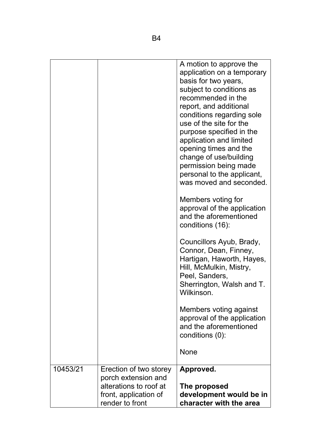|          |                                                                         | A motion to approve the<br>application on a temporary<br>basis for two years,<br>subject to conditions as<br>recommended in the<br>report, and additional<br>conditions regarding sole<br>use of the site for the<br>purpose specified in the<br>application and limited<br>opening times and the<br>change of use/building<br>permission being made<br>personal to the applicant,<br>was moved and seconded. |
|----------|-------------------------------------------------------------------------|---------------------------------------------------------------------------------------------------------------------------------------------------------------------------------------------------------------------------------------------------------------------------------------------------------------------------------------------------------------------------------------------------------------|
|          |                                                                         | Members voting for<br>approval of the application<br>and the aforementioned<br>conditions (16):                                                                                                                                                                                                                                                                                                               |
|          |                                                                         | Councillors Ayub, Brady,<br>Connor, Dean, Finney,<br>Hartigan, Haworth, Hayes,<br>Hill, McMulkin, Mistry,<br>Peel, Sanders,<br>Sherrington, Walsh and T.<br>Wilkinson.                                                                                                                                                                                                                                        |
|          |                                                                         | Members voting against<br>approval of the application<br>and the aforementioned<br>conditions (0):                                                                                                                                                                                                                                                                                                            |
|          |                                                                         | <b>None</b>                                                                                                                                                                                                                                                                                                                                                                                                   |
| 10453/21 | Erection of two storey<br>porch extension and<br>alterations to roof at | Approved.<br>The proposed                                                                                                                                                                                                                                                                                                                                                                                     |
|          | front, application of<br>render to front                                | development would be in<br>character with the area                                                                                                                                                                                                                                                                                                                                                            |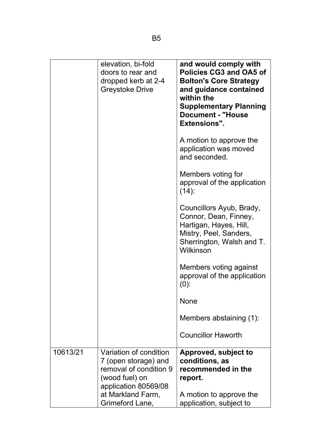|          | elevation, bi-fold<br>doors to rear and<br>dropped kerb at 2-4<br><b>Greystoke Drive</b>                                                | and would comply with<br><b>Policies CG3 and OA5 of</b><br><b>Bolton's Core Strategy</b><br>and guidance contained<br>within the<br><b>Supplementary Planning</b><br><b>Document - "House</b><br><b>Extensions".</b> |
|----------|-----------------------------------------------------------------------------------------------------------------------------------------|----------------------------------------------------------------------------------------------------------------------------------------------------------------------------------------------------------------------|
|          |                                                                                                                                         | A motion to approve the<br>application was moved<br>and seconded.                                                                                                                                                    |
|          |                                                                                                                                         | Members voting for<br>approval of the application<br>$(14)$ :                                                                                                                                                        |
|          |                                                                                                                                         | Councillors Ayub, Brady,<br>Connor, Dean, Finney,<br>Hartigan, Hayes, Hill,<br>Mistry, Peel, Sanders,<br>Sherrington, Walsh and T.<br>Wilkinson                                                                      |
|          |                                                                                                                                         | Members voting against<br>approval of the application<br>$(0)$ :                                                                                                                                                     |
|          |                                                                                                                                         | <b>None</b>                                                                                                                                                                                                          |
|          |                                                                                                                                         | Members abstaining (1):                                                                                                                                                                                              |
|          |                                                                                                                                         | <b>Councillor Haworth</b>                                                                                                                                                                                            |
| 10613/21 | Variation of condition<br>7 (open storage) and<br>removal of condition 9<br>(wood fuel) on<br>application 80569/08<br>at Markland Farm, | Approved, subject to<br>conditions, as<br>recommended in the<br>report.<br>A motion to approve the                                                                                                                   |
|          | Grimeford Lane,                                                                                                                         | application, subject to                                                                                                                                                                                              |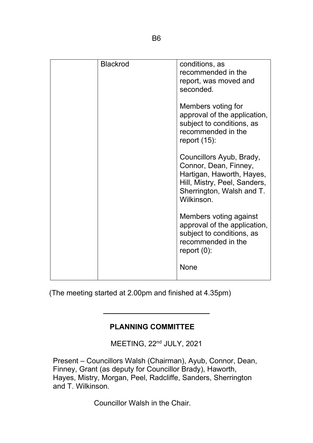| <b>Blackrod</b> | conditions, as<br>recommended in the                                                                                                                      |
|-----------------|-----------------------------------------------------------------------------------------------------------------------------------------------------------|
|                 | report, was moved and<br>seconded.                                                                                                                        |
|                 | Members voting for<br>approval of the application,<br>subject to conditions, as<br>recommended in the<br>report $(15)$ :                                  |
|                 | Councillors Ayub, Brady,<br>Connor, Dean, Finney,<br>Hartigan, Haworth, Hayes,<br>Hill, Mistry, Peel, Sanders,<br>Sherrington, Walsh and T.<br>Wilkinson. |
|                 | Members voting against<br>approval of the application,<br>subject to conditions, as<br>recommended in the<br>report $(0)$ :                               |
|                 | <b>None</b>                                                                                                                                               |

(The meeting started at 2.00pm and finished at 4.35pm)

# **PLANNING COMMITTEE**

**\_\_\_\_\_\_\_\_\_\_\_\_\_\_\_\_\_\_\_\_\_\_\_\_\_\_**

MEETING, 22<sup>nd</sup> JULY, 2021

Present – Councillors Walsh (Chairman), Ayub, Connor, Dean, Finney, Grant (as deputy for Councillor Brady), Haworth, Hayes, Mistry, Morgan, Peel, Radcliffe, Sanders, Sherrington and T. Wilkinson.

Councillor Walsh in the Chair.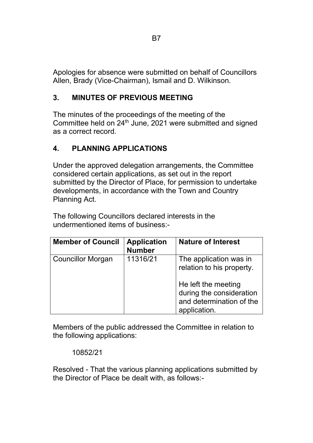Apologies for absence were submitted on behalf of Councillors Allen, Brady (Vice-Chairman), Ismail and D. Wilkinson.

# **3. MINUTES OF PREVIOUS MEETING**

The minutes of the proceedings of the meeting of the Committee held on 24<sup>th</sup> June, 2021 were submitted and signed as a correct record.

# **4. PLANNING APPLICATIONS**

Under the approved delegation arrangements, the Committee considered certain applications, as set out in the report submitted by the Director of Place, for permission to undertake developments, in accordance with the Town and Country Planning Act.

The following Councillors declared interests in the undermentioned items of business:-

| <b>Member of Council</b> | <b>Application</b><br><b>Number</b> | <b>Nature of Interest</b>                                                                                                                          |
|--------------------------|-------------------------------------|----------------------------------------------------------------------------------------------------------------------------------------------------|
| <b>Councillor Morgan</b> | 11316/21                            | The application was in<br>relation to his property.<br>He left the meeting<br>during the consideration<br>and determination of the<br>application. |

Members of the public addressed the Committee in relation to the following applications:

# 10852/21

Resolved - That the various planning applications submitted by the Director of Place be dealt with, as follows:-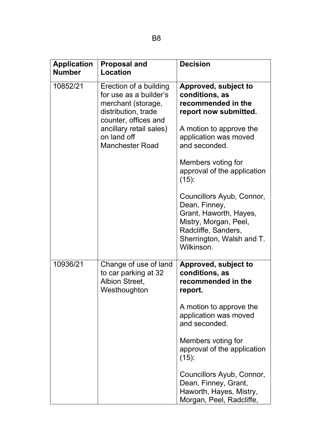| <b>Application</b><br><b>Number</b> | <b>Proposal and</b><br>Location                                                                                                                                                           | <b>Decision</b>                                                                                                                                                                                                             |
|-------------------------------------|-------------------------------------------------------------------------------------------------------------------------------------------------------------------------------------------|-----------------------------------------------------------------------------------------------------------------------------------------------------------------------------------------------------------------------------|
| 10852/21                            | Erection of a building<br>for use as a builder's<br>merchant (storage,<br>distribution, trade<br>counter, offices and<br>ancillary retail sales)<br>on land off<br><b>Manchester Road</b> | Approved, subject to<br>conditions, as<br>recommended in the<br>report now submitted.<br>A motion to approve the<br>application was moved<br>and seconded.<br>Members voting for<br>approval of the application<br>$(15)$ : |
|                                     |                                                                                                                                                                                           | Councillors Ayub, Connor,<br>Dean, Finney,<br>Grant, Haworth, Hayes,<br>Mistry, Morgan, Peel,<br>Radcliffe, Sanders,<br>Sherrington, Walsh and T.<br>Wilkinson.                                                             |
| 10936/21                            | Change of use of land<br>to car parking at 32<br><b>Albion Street,</b><br>Westhoughton                                                                                                    | Approved, subject to<br>conditions, as<br>recommended in the<br>report.                                                                                                                                                     |
|                                     |                                                                                                                                                                                           | A motion to approve the<br>application was moved<br>and seconded.                                                                                                                                                           |
|                                     |                                                                                                                                                                                           | Members voting for<br>approval of the application<br>$(15)$ :                                                                                                                                                               |
|                                     |                                                                                                                                                                                           | Councillors Ayub, Connor,<br>Dean, Finney, Grant,<br>Haworth, Hayes, Mistry,<br>Morgan, Peel, Radcliffe,                                                                                                                    |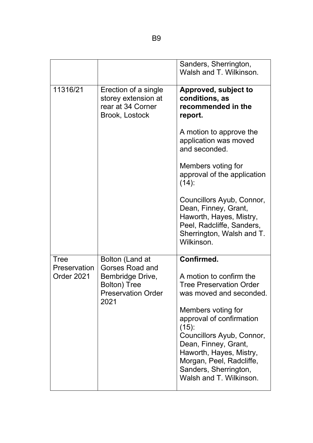|                            |                                                                                                         | Sanders, Sherrington,<br>Walsh and T. Wilkinson.                                                                                                                                                                                                                                                                   |
|----------------------------|---------------------------------------------------------------------------------------------------------|--------------------------------------------------------------------------------------------------------------------------------------------------------------------------------------------------------------------------------------------------------------------------------------------------------------------|
| 11316/21                   | Erection of a single<br>storey extension at<br>rear at 34 Corner<br>Brook, Lostock                      | <b>Approved, subject to</b><br>conditions, as<br>recommended in the<br>report.                                                                                                                                                                                                                                     |
|                            |                                                                                                         | A motion to approve the<br>application was moved<br>and seconded.                                                                                                                                                                                                                                                  |
|                            |                                                                                                         | Members voting for<br>approval of the application<br>$(14)$ :                                                                                                                                                                                                                                                      |
|                            |                                                                                                         | Councillors Ayub, Connor,<br>Dean, Finney, Grant,<br>Haworth, Hayes, Mistry,<br>Peel, Radcliffe, Sanders,<br>Sherrington, Walsh and T.<br>Wilkinson.                                                                                                                                                               |
| <b>Tree</b>                | Bolton (Land at                                                                                         | Confirmed.                                                                                                                                                                                                                                                                                                         |
| Preservation<br>Order 2021 | <b>Gorses Road and</b><br>Bembridge Drive,<br><b>Bolton</b> ) Tree<br><b>Preservation Order</b><br>2021 | A motion to confirm the<br><b>Tree Preservation Order</b><br>was moved and seconded.<br>Members voting for<br>approval of confirmation<br>$(15)$ :<br>Councillors Ayub, Connor,<br>Dean, Finney, Grant,<br>Haworth, Hayes, Mistry,<br>Morgan, Peel, Radcliffe,<br>Sanders, Sherrington,<br>Walsh and T. Wilkinson. |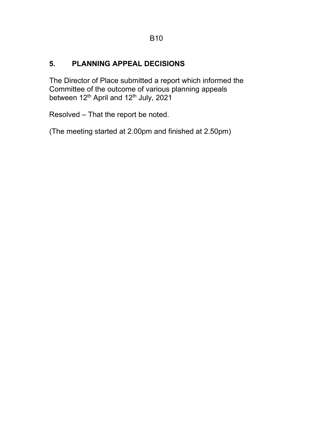# **5. PLANNING APPEAL DECISIONS**

The Director of Place submitted a report which informed the Committee of the outcome of various planning appeals between 12<sup>th</sup> April and 12<sup>th</sup> July, 2021

Resolved – That the report be noted.

(The meeting started at 2.00pm and finished at 2.50pm)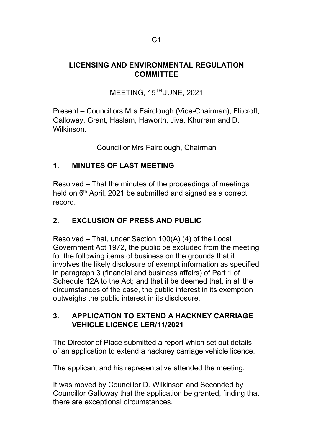# **LICENSING AND ENVIRONMENTAL REGULATION COMMITTEE**

MEETING, 15TH JUNE, 2021

Present – Councillors Mrs Fairclough (Vice-Chairman), Flitcroft, Galloway, Grant, Haslam, Haworth, Jiva, Khurram and D. Wilkinson.

Councillor Mrs Fairclough, Chairman

# **1. MINUTES OF LAST MEETING**

Resolved – That the minutes of the proceedings of meetings held on  $6<sup>th</sup>$  April, 2021 be submitted and signed as a correct record.

# **2. EXCLUSION OF PRESS AND PUBLIC**

Resolved – That, under Section 100(A) (4) of the Local Government Act 1972, the public be excluded from the meeting for the following items of business on the grounds that it involves the likely disclosure of exempt information as specified in paragraph 3 (financial and business affairs) of Part 1 of Schedule 12A to the Act; and that it be deemed that, in all the circumstances of the case, the public interest in its exemption outweighs the public interest in its disclosure.

# **3. APPLICATION TO EXTEND A HACKNEY CARRIAGE VEHICLE LICENCE LER/11/2021**

The Director of Place submitted a report which set out details of an application to extend a hackney carriage vehicle licence.

The applicant and his representative attended the meeting.

It was moved by Councillor D. Wilkinson and Seconded by Councillor Galloway that the application be granted, finding that there are exceptional circumstances.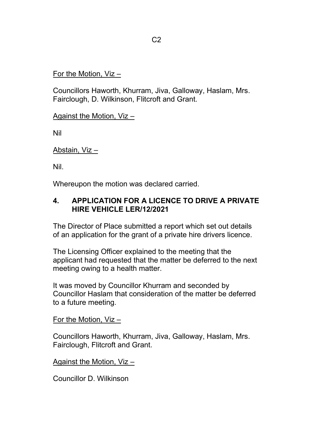#### For the Motion, Viz –

Councillors Haworth, Khurram, Jiva, Galloway, Haslam, Mrs. Fairclough, D. Wilkinson, Flitcroft and Grant.

Against the Motion, Viz –

Nil

Abstain, Viz –

Nil.

Whereupon the motion was declared carried.

# **4. APPLICATION FOR A LICENCE TO DRIVE A PRIVATE HIRE VEHICLE LER/12/2021**

The Director of Place submitted a report which set out details of an application for the grant of a private hire drivers licence.

The Licensing Officer explained to the meeting that the applicant had requested that the matter be deferred to the next meeting owing to a health matter.

It was moved by Councillor Khurram and seconded by Councillor Haslam that consideration of the matter be deferred to a future meeting.

#### For the Motion, Viz –

Councillors Haworth, Khurram, Jiva, Galloway, Haslam, Mrs. Fairclough, Flitcroft and Grant.

Against the Motion, Viz –

Councillor D. Wilkinson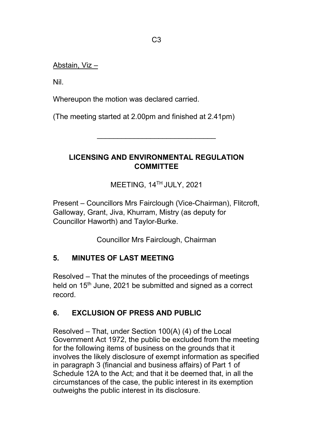Abstain, Viz –

Nil.

Whereupon the motion was declared carried.

(The meeting started at 2.00pm and finished at 2.41pm)

# **LICENSING AND ENVIRONMENTAL REGULATION COMMITTEE**

\_\_\_\_\_\_\_\_\_\_\_\_\_\_\_\_\_\_\_\_\_\_\_\_\_\_\_\_\_

MEETING, 14TH JULY, 2021

Present – Councillors Mrs Fairclough (Vice-Chairman), Flitcroft, Galloway, Grant, Jiva, Khurram, Mistry (as deputy for Councillor Haworth) and Taylor-Burke.

Councillor Mrs Fairclough, Chairman

# **5. MINUTES OF LAST MEETING**

Resolved – That the minutes of the proceedings of meetings held on 15<sup>th</sup> June, 2021 be submitted and signed as a correct record.

# **6. EXCLUSION OF PRESS AND PUBLIC**

Resolved – That, under Section 100(A) (4) of the Local Government Act 1972, the public be excluded from the meeting for the following items of business on the grounds that it involves the likely disclosure of exempt information as specified in paragraph 3 (financial and business affairs) of Part 1 of Schedule 12A to the Act; and that it be deemed that, in all the circumstances of the case, the public interest in its exemption outweighs the public interest in its disclosure.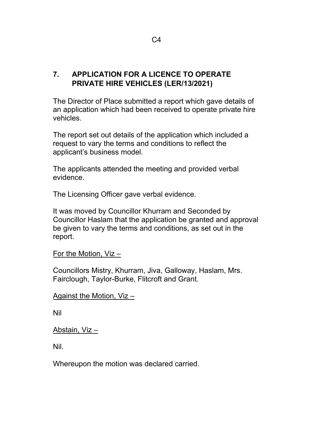# **7. APPLICATION FOR A LICENCE TO OPERATE PRIVATE HIRE VEHICLES (LER/13/2021)**

The Director of Place submitted a report which gave details of an application which had been received to operate private hire vehicles.

The report set out details of the application which included a request to vary the terms and conditions to reflect the applicant's business model.

The applicants attended the meeting and provided verbal evidence.

The Licensing Officer gave verbal evidence.

It was moved by Councillor Khurram and Seconded by Councillor Haslam that the application be granted and approval be given to vary the terms and conditions, as set out in the report.

```
For the Motion, Viz –
```
Councillors Mistry, Khurram, Jiva, Galloway, Haslam, Mrs. Fairclough, Taylor-Burke, Flitcroft and Grant.

#### Against the Motion, Viz –

Nil

# Abstain, Viz –

Nil.

Whereupon the motion was declared carried.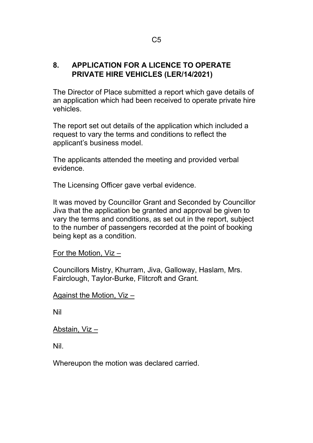# **8. APPLICATION FOR A LICENCE TO OPERATE PRIVATE HIRE VEHICLES (LER/14/2021)**

The Director of Place submitted a report which gave details of an application which had been received to operate private hire vehicles.

The report set out details of the application which included a request to vary the terms and conditions to reflect the applicant's business model.

The applicants attended the meeting and provided verbal evidence.

The Licensing Officer gave verbal evidence.

It was moved by Councillor Grant and Seconded by Councillor Jiva that the application be granted and approval be given to vary the terms and conditions, as set out in the report, subject to the number of passengers recorded at the point of booking being kept as a condition.

For the Motion, Viz –

Councillors Mistry, Khurram, Jiva, Galloway, Haslam, Mrs. Fairclough, Taylor-Burke, Flitcroft and Grant.

Against the Motion, Viz –

Nil

Abstain, Viz –

Nil.

Whereupon the motion was declared carried.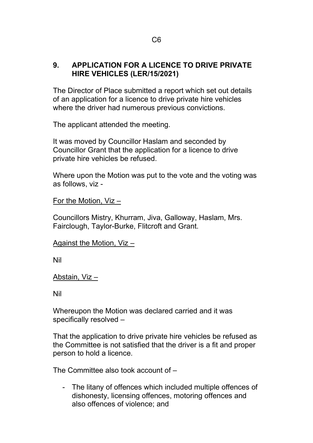# **9. APPLICATION FOR A LICENCE TO DRIVE PRIVATE HIRE VEHICLES (LER/15/2021)**

The Director of Place submitted a report which set out details of an application for a licence to drive private hire vehicles where the driver had numerous previous convictions.

The applicant attended the meeting.

It was moved by Councillor Haslam and seconded by Councillor Grant that the application for a licence to drive private hire vehicles be refused.

Where upon the Motion was put to the vote and the voting was as follows, viz -

#### For the Motion, Viz –

Councillors Mistry, Khurram, Jiva, Galloway, Haslam, Mrs. Fairclough, Taylor-Burke, Flitcroft and Grant.

#### Against the Motion, Viz –

Nil

#### Abstain, Viz –

Nil

Whereupon the Motion was declared carried and it was specifically resolved –

That the application to drive private hire vehicles be refused as the Committee is not satisfied that the driver is a fit and proper person to hold a licence.

The Committee also took account of –

- The litany of offences which included multiple offences of dishonesty, licensing offences, motoring offences and also offences of violence; and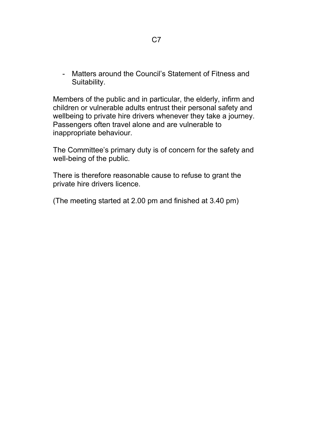- Matters around the Council's Statement of Fitness and Suitability.

Members of the public and in particular, the elderly, infirm and children or vulnerable adults entrust their personal safety and wellbeing to private hire drivers whenever they take a journey. Passengers often travel alone and are vulnerable to inappropriate behaviour.

The Committee's primary duty is of concern for the safety and well-being of the public.

There is therefore reasonable cause to refuse to grant the private hire drivers licence.

(The meeting started at 2.00 pm and finished at 3.40 pm)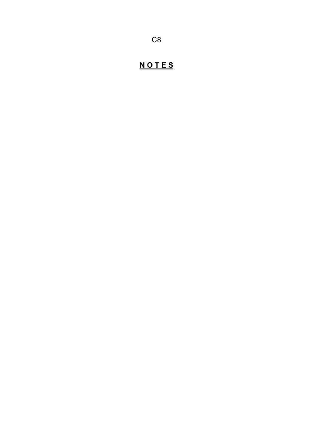# **N O T E S**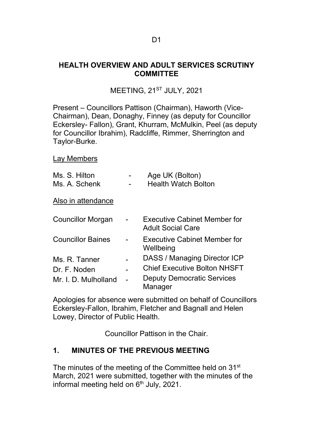# **HEALTH OVERVIEW AND ADULT SERVICES SCRUTINY COMMITTEE**

# MEETING, 21<sup>ST</sup> JULY, 2021

Present – Councillors Pattison (Chairman), Haworth (Vice-Chairman), Dean, Donaghy, Finney (as deputy for Councillor Eckersley- Fallon), Grant, Khurram, McMulkin, Peel (as deputy for Councillor Ibrahim), Radcliffe, Rimmer, Sherrington and Taylor-Burke.

#### Lay Members

| Ms. S. Hilton<br>Ms. A. Schenk | Age UK (Bolton)<br><b>Health Watch Bolton</b>                   |
|--------------------------------|-----------------------------------------------------------------|
| Also in attendance             |                                                                 |
| Councillor Morgan              | <b>Executive Cabinet Member for</b><br><b>Adult Social Care</b> |
| <b>Councillor Baines</b>       | <b>Executive Cabinet Member for</b><br>Wellbeing                |
| Ms. R. Tanner                  | DASS / Managing Director ICP                                    |
| Dr. F. Noden                   | <b>Chief Executive Bolton NHSFT</b>                             |
| Mr. I. D. Mulholland           | <b>Deputy Democratic Services</b><br>Manager                    |

Apologies for absence were submitted on behalf of Councillors Eckersley-Fallon, Ibrahim, Fletcher and Bagnall and Helen Lowey, Director of Public Health.

Councillor Pattison in the Chair.

# **1. MINUTES OF THE PREVIOUS MEETING**

The minutes of the meeting of the Committee held on 31<sup>st</sup> March, 2021 were submitted, together with the minutes of the informal meeting held on  $6<sup>th</sup>$  July, 2021.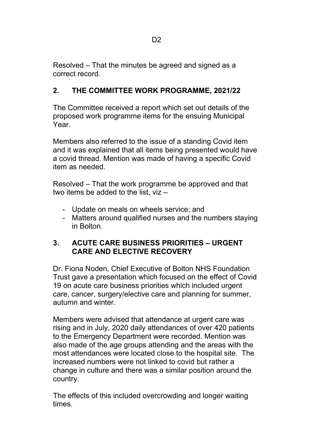Resolved – That the minutes be agreed and signed as a correct record.

# **2. THE COMMITTEE WORK PROGRAMME, 2021/22**

The Committee received a report which set out details of the proposed work programme items for the ensuing Municipal Year.

Members also referred to the issue of a standing Covid item and it was explained that all items being presented would have a covid thread. Mention was made of having a specific Covid item as needed.

Resolved – That the work programme be approved and that two items be added to the list, viz –

- Update on meals on wheels service; and
- Matters around qualified nurses and the numbers staying in Bolton.

# **3. ACUTE CARE BUSINESS PRIORITIES – URGENT CARE AND ELECTIVE RECOVERY**

Dr. Fiona Noden, Chief Executive of Bolton NHS Foundation Trust gave a presentation which focused on the effect of Covid 19 on acute care business priorities which included urgent care, cancer, surgery/elective care and planning for summer, autumn and winter.

Members were advised that attendance at urgent care was rising and in July, 2020 daily attendances of over 420 patients to the Emergency Department were recorded. Mention was also made of the age groups attending and the areas with the most attendances were located close to the hospital site. The increased numbers were not linked to covid but rather a change in culture and there was a similar position around the country.

The effects of this included overcrowding and longer waiting times.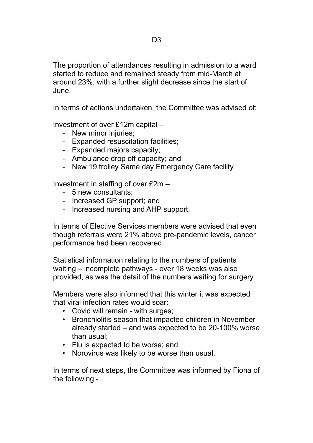The proportion of attendances resulting in admission to a ward started to reduce and remained steady from mid-March at around 23%, with a further slight decrease since the start of June.

In terms of actions undertaken, the Committee was advised of:

Investment of over £12m capital –

- New minor injuries;
- Expanded resuscitation facilities;
- Expanded majors capacity;
- Ambulance drop off capacity; and
- New 19 trolley Same day Emergency Care facility.

Investment in staffing of over £2m –

- 5 new consultants;
- Increased GP support; and
- Increased nursing and AHP support.

In terms of Elective Services members were advised that even though referrals were 21% above pre-pandemic levels, cancer performance had been recovered.

Statistical information relating to the numbers of patients waiting – incomplete pathways - over 18 weeks was also provided, as was the detail of the numbers waiting for surgery.

Members were also informed that this winter it was expected that viral infection rates would soar:

- Covid will remain with surges;
- Bronchiolitis season that impacted children in November already started – and was expected to be 20-100% worse than usual;
- Flu is expected to be worse; and
- Norovirus was likely to be worse than usual.

In terms of next steps, the Committee was informed by Fiona of the following -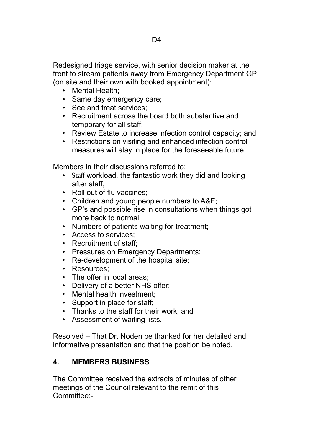Redesigned triage service, with senior decision maker at the front to stream patients away from Emergency Department GP (on site and their own with booked appointment):

- Mental Health;
- Same day emergency care;
- See and treat services;
- Recruitment across the board both substantive and temporary for all staff;
- Review Estate to increase infection control capacity; and
- Restrictions on visiting and enhanced infection control measures will stay in place for the foreseeable future.

Members in their discussions referred to:

- Staff workload, the fantastic work they did and looking after staff;
- Roll out of flu vaccines;
- Children and young people numbers to A&E;
- GP's and possible rise in consultations when things got more back to normal;
- Numbers of patients waiting for treatment;
- Access to services;
- Recruitment of staff;
- Pressures on Emergency Departments;
- Re-development of the hospital site;
- Resources;
- The offer in local areas;
- Delivery of a better NHS offer;
- Mental health investment;
- Support in place for staff;
- Thanks to the staff for their work; and
- Assessment of waiting lists.

Resolved – That Dr. Noden be thanked for her detailed and informative presentation and that the position be noted.

# **4. MEMBERS BUSINESS**

The Committee received the extracts of minutes of other meetings of the Council relevant to the remit of this Committee:-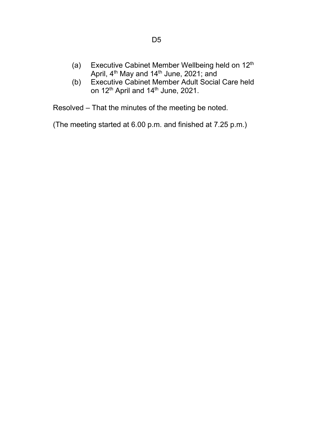- (a) Executive Cabinet Member Wellbeing held on 12<sup>th</sup> April, 4<sup>th</sup> May and 14<sup>th</sup> June, 2021; and
- (b) Executive Cabinet Member Adult Social Care held on 12<sup>th</sup> April and 14<sup>th</sup> June, 2021.

Resolved – That the minutes of the meeting be noted.

(The meeting started at 6.00 p.m. and finished at 7.25 p.m.)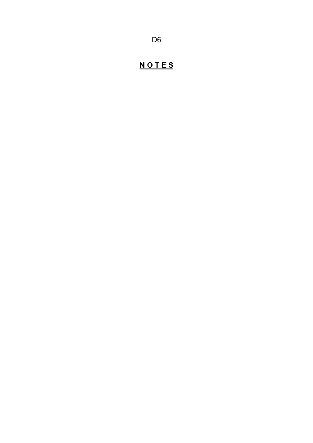# **N O T E S**

D6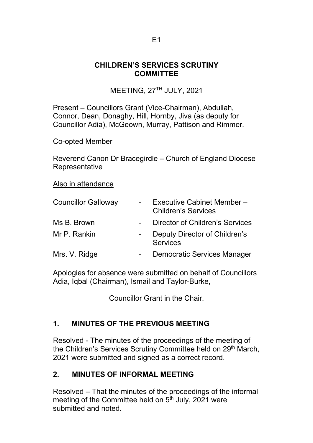# **CHILDREN'S SERVICES SCRUTINY COMMITTEE**

MEETING, 27TH JULY, 2021

Present – Councillors Grant (Vice-Chairman), Abdullah, Connor, Dean, Donaghy, Hill, Hornby, Jiva (as deputy for Councillor Adia), McGeown, Murray, Pattison and Rimmer.

Co-opted Member

Reverend Canon Dr Bracegirdle – Church of England Diocese Representative

Also in attendance

| <b>Councillor Galloway</b> |                          | <b>Executive Cabinet Member-</b><br><b>Children's Services</b> |
|----------------------------|--------------------------|----------------------------------------------------------------|
| Ms B. Brown                |                          | Director of Children's Services                                |
| Mr P. Rankin               |                          | Deputy Director of Children's<br><b>Services</b>               |
| Mrs. V. Ridge              | $\overline{\phantom{0}}$ | <b>Democratic Services Manager</b>                             |

Apologies for absence were submitted on behalf of Councillors Adia, Iqbal (Chairman), Ismail and Taylor-Burke,

Councillor Grant in the Chair.

# **1. MINUTES OF THE PREVIOUS MEETING**

Resolved - The minutes of the proceedings of the meeting of the Children's Services Scrutiny Committee held on 29<sup>th</sup> March, 2021 were submitted and signed as a correct record.

# **2. MINUTES OF INFORMAL MEETING**

Resolved – That the minutes of the proceedings of the informal meeting of the Committee held on  $5<sup>th</sup>$  July, 2021 were submitted and noted.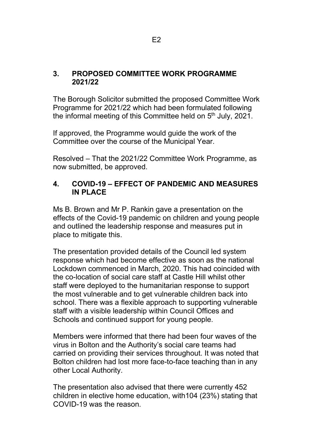# **3. PROPOSED COMMITTEE WORK PROGRAMME 2021/22**

The Borough Solicitor submitted the proposed Committee Work Programme for 2021/22 which had been formulated following the informal meeting of this Committee held on  $5<sup>th</sup>$  July, 2021.

If approved, the Programme would guide the work of the Committee over the course of the Municipal Year.

Resolved – That the 2021/22 Committee Work Programme, as now submitted, be approved.

# **4. COVID-19 – EFFECT OF PANDEMIC AND MEASURES IN PLACE**

Ms B. Brown and Mr P. Rankin gave a presentation on the effects of the Covid-19 pandemic on children and young people and outlined the leadership response and measures put in place to mitigate this.

The presentation provided details of the Council led system response which had become effective as soon as the national Lockdown commenced in March, 2020. This had coincided with the co-location of social care staff at Castle Hill whilst other staff were deployed to the humanitarian response to support the most vulnerable and to get vulnerable children back into school. There was a flexible approach to supporting vulnerable staff with a visible leadership within Council Offices and Schools and continued support for young people.

Members were informed that there had been four waves of the virus in Bolton and the Authority's social care teams had carried on providing their services throughout. It was noted that Bolton children had lost more face-to-face teaching than in any other Local Authority.

The presentation also advised that there were currently 452 children in elective home education, with104 (23%) stating that COVID-19 was the reason.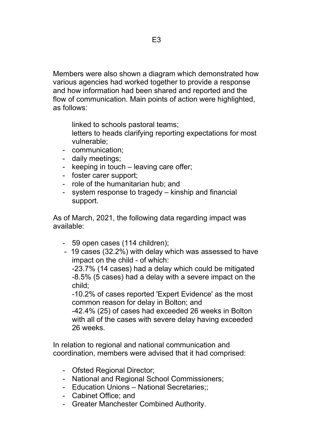Members were also shown a diagram which demonstrated how various agencies had worked together to provide a response and how information had been shared and reported and the flow of communication. Main points of action were highlighted, as follows:

linked to schools pastoral teams;

- letters to heads clarifying reporting expectations for most vulnerable;
- communication;
- daily meetings;
- keeping in touch leaving care offer;
- foster carer support;
- role of the humanitarian hub; and
- system response to tragedy kinship and financial support.

As of March, 2021, the following data regarding impact was available:

- 59 open cases (114 children);
- 19 cases (32.2%) with delay which was assessed to have impact on the child - of which:

-23.7% (14 cases) had a delay which could be mitigated -8.5% (5 cases) had a delay with a severe impact on the child;

-10.2% of cases reported 'Expert Evidence' as the most common reason for delay in Bolton; and

-42.4% (25) of cases had exceeded 26 weeks in Bolton with all of the cases with severe delay having exceeded 26 weeks.

In relation to regional and national communication and coordination, members were advised that it had comprised:

- Ofsted Regional Director;
- National and Regional School Commissioners;
- Education Unions National Secretaries;;
- Cabinet Office; and
- Greater Manchester Combined Authority.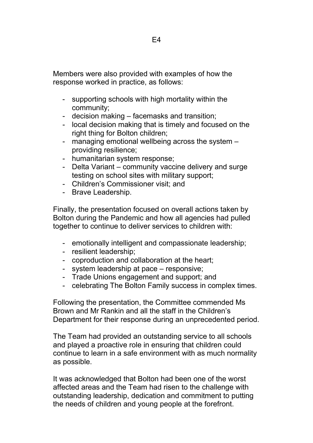Members were also provided with examples of how the response worked in practice, as follows:

- supporting schools with high mortality within the community;
- decision making facemasks and transition;
- local decision making that is timely and focused on the right thing for Bolton children;
- managing emotional wellbeing across the system providing resilience;
- humanitarian system response;
- Delta Variant community vaccine delivery and surge testing on school sites with military support;
- Children's Commissioner visit; and
- Brave Leadership.

Finally, the presentation focused on overall actions taken by Bolton during the Pandemic and how all agencies had pulled together to continue to deliver services to children with:

- emotionally intelligent and compassionate leadership;
- resilient leadership;
- coproduction and collaboration at the heart;
- system leadership at pace responsive;
- Trade Unions engagement and support; and
- celebrating The Bolton Family success in complex times.

Following the presentation, the Committee commended Ms Brown and Mr Rankin and all the staff in the Children's Department for their response during an unprecedented period.

The Team had provided an outstanding service to all schools and played a proactive role in ensuring that children could continue to learn in a safe environment with as much normality as possible.

It was acknowledged that Bolton had been one of the worst affected areas and the Team had risen to the challenge with outstanding leadership, dedication and commitment to putting the needs of children and young people at the forefront.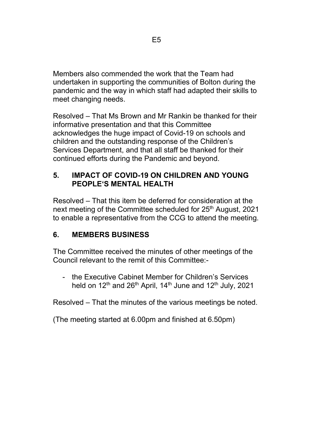Members also commended the work that the Team had undertaken in supporting the communities of Bolton during the pandemic and the way in which staff had adapted their skills to meet changing needs.

Resolved – That Ms Brown and Mr Rankin be thanked for their informative presentation and that this Committee acknowledges the huge impact of Covid-19 on schools and children and the outstanding response of the Children's Services Department, and that all staff be thanked for their continued efforts during the Pandemic and beyond.

# **5. IMPACT OF COVID-19 ON CHILDREN AND YOUNG PEOPLE'S MENTAL HEALTH**

Resolved – That this item be deferred for consideration at the next meeting of the Committee scheduled for 25<sup>th</sup> August, 2021 to enable a representative from the CCG to attend the meeting.

# **6. MEMBERS BUSINESS**

The Committee received the minutes of other meetings of the Council relevant to the remit of this Committee:-

- the Executive Cabinet Member for Children's Services held on  $12<sup>th</sup>$  and  $26<sup>th</sup>$  April, 14<sup>th</sup> June and  $12<sup>th</sup>$  July, 2021

Resolved – That the minutes of the various meetings be noted.

(The meeting started at 6.00pm and finished at 6.50pm)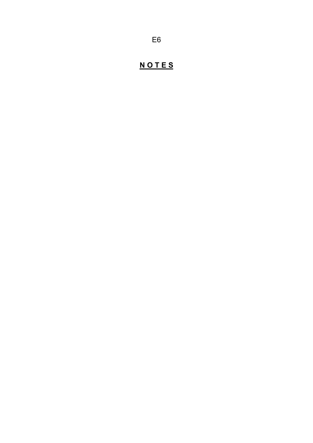# **N O T E S**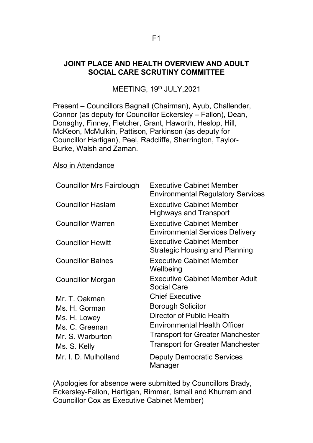#### **JOINT PLACE AND HEALTH OVERVIEW AND ADULT SOCIAL CARE SCRUTINY COMMITTEE**

MEETING, 19<sup>th</sup> JULY, 2021

Present – Councillors Bagnall (Chairman), Ayub, Challender, Connor (as deputy for Councillor Eckersley – Fallon), Dean, Donaghy, Finney, Fletcher, Grant, Haworth, Heslop, Hill, McKeon, McMulkin, Pattison, Parkinson (as deputy for Councillor Hartigan), Peel, Radcliffe, Sherrington, Taylor-Burke, Walsh and Zaman.

Also in Attendance

| <b>Councillor Mrs Fairclough</b>                                                                     | <b>Executive Cabinet Member</b><br><b>Environmental Regulatory Services</b>                                                                                                                                  |
|------------------------------------------------------------------------------------------------------|--------------------------------------------------------------------------------------------------------------------------------------------------------------------------------------------------------------|
| <b>Councillor Haslam</b>                                                                             | <b>Executive Cabinet Member</b><br>Highways and Transport                                                                                                                                                    |
| <b>Councillor Warren</b>                                                                             | <b>Executive Cabinet Member</b><br><b>Environmental Services Delivery</b>                                                                                                                                    |
| <b>Councillor Hewitt</b>                                                                             | <b>Executive Cabinet Member</b><br><b>Strategic Housing and Planning</b>                                                                                                                                     |
| <b>Councillor Baines</b>                                                                             | <b>Executive Cabinet Member</b><br>Wellbeing                                                                                                                                                                 |
| <b>Councillor Morgan</b>                                                                             | <b>Executive Cabinet Member Adult</b><br><b>Social Care</b>                                                                                                                                                  |
| Mr. T. Oakman<br>Ms. H. Gorman<br>Ms. H. Lowey<br>Ms. C. Greenan<br>Mr. S. Warburton<br>Ms. S. Kelly | <b>Chief Executive</b><br><b>Borough Solicitor</b><br>Director of Public Health<br><b>Environmental Health Officer</b><br><b>Transport for Greater Manchester</b><br><b>Transport for Greater Manchester</b> |
| Mr. I. D. Mulholland                                                                                 | <b>Deputy Democratic Services</b><br>Manager                                                                                                                                                                 |

(Apologies for absence were submitted by Councillors Brady, Eckersley-Fallon, Hartigan, Rimmer, Ismail and Khurram and Councillor Cox as Executive Cabinet Member)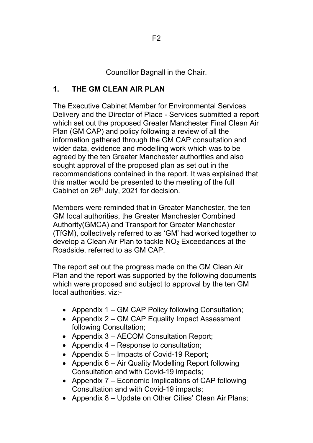Councillor Bagnall in the Chair.

# **1. THE GM CLEAN AIR PLAN**

The Executive Cabinet Member for Environmental Services Delivery and the Director of Place - Services submitted a report which set out the proposed Greater Manchester Final Clean Air Plan (GM CAP) and policy following a review of all the information gathered through the GM CAP consultation and wider data, evidence and modelling work which was to be agreed by the ten Greater Manchester authorities and also sought approval of the proposed plan as set out in the recommendations contained in the report. It was explained that this matter would be presented to the meeting of the full Cabinet on 26<sup>th</sup> July, 2021 for decision.

Members were reminded that in Greater Manchester, the ten GM local authorities, the Greater Manchester Combined Authority(GMCA) and Transport for Greater Manchester (TfGM), collectively referred to as 'GM' had worked together to develop a Clean Air Plan to tackle  $NO<sub>2</sub>$  Exceedances at the Roadside, referred to as GM CAP.

The report set out the progress made on the GM Clean Air Plan and the report was supported by the following documents which were proposed and subject to approval by the ten GM local authorities, viz:-

- Appendix 1 GM CAP Policy following Consultation;
- Appendix 2 GM CAP Equality Impact Assessment following Consultation;
- Appendix 3 AECOM Consultation Report;
- Appendix 4 Response to consultation;
- Appendix 5 Impacts of Covid-19 Report;
- Appendix 6 Air Quality Modelling Report following Consultation and with Covid-19 impacts;
- Appendix 7 Economic Implications of CAP following Consultation and with Covid-19 impacts;
- Appendix 8 Update on Other Cities' Clean Air Plans;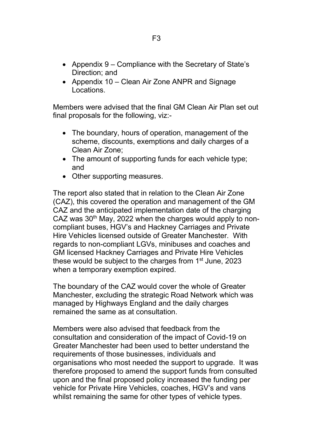- Appendix 9 Compliance with the Secretary of State's Direction; and
- Appendix 10 Clean Air Zone ANPR and Signage Locations.

Members were advised that the final GM Clean Air Plan set out final proposals for the following, viz:-

- The boundary, hours of operation, management of the scheme, discounts, exemptions and daily charges of a Clean Air Zone;
- The amount of supporting funds for each vehicle type; and
- Other supporting measures.

The report also stated that in relation to the Clean Air Zone (CAZ), this covered the operation and management of the GM CAZ and the anticipated implementation date of the charging CAZ was  $30<sup>th</sup>$  May, 2022 when the charges would apply to noncompliant buses, HGV's and Hackney Carriages and Private Hire Vehicles licensed outside of Greater Manchester. With regards to non-compliant LGVs, minibuses and coaches and GM licensed Hackney Carriages and Private Hire Vehicles these would be subject to the charges from 1<sup>st</sup> June, 2023 when a temporary exemption expired.

The boundary of the CAZ would cover the whole of Greater Manchester, excluding the strategic Road Network which was managed by Highways England and the daily charges remained the same as at consultation.

Members were also advised that feedback from the consultation and consideration of the impact of Covid-19 on Greater Manchester had been used to better understand the requirements of those businesses, individuals and organisations who most needed the support to upgrade. It was therefore proposed to amend the support funds from consulted upon and the final proposed policy increased the funding per vehicle for Private Hire Vehicles, coaches, HGV's and vans whilst remaining the same for other types of vehicle types.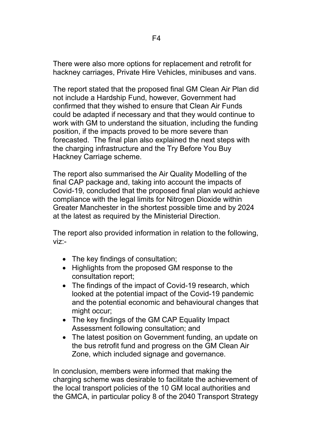There were also more options for replacement and retrofit for hackney carriages, Private Hire Vehicles, minibuses and vans.

The report stated that the proposed final GM Clean Air Plan did not include a Hardship Fund, however, Government had confirmed that they wished to ensure that Clean Air Funds could be adapted if necessary and that they would continue to work with GM to understand the situation, including the funding position, if the impacts proved to be more severe than forecasted. The final plan also explained the next steps with the charging infrastructure and the Try Before You Buy Hackney Carriage scheme.

The report also summarised the Air Quality Modelling of the final CAP package and, taking into account the impacts of Covid-19, concluded that the proposed final plan would achieve compliance with the legal limits for Nitrogen Dioxide within Greater Manchester in the shortest possible time and by 2024 at the latest as required by the Ministerial Direction.

The report also provided information in relation to the following, viz:-

- The key findings of consultation;
- Highlights from the proposed GM response to the consultation report;
- The findings of the impact of Covid-19 research, which looked at the potential impact of the Covid-19 pandemic and the potential economic and behavioural changes that might occur;
- The key findings of the GM CAP Equality Impact Assessment following consultation; and
- The latest position on Government funding, an update on the bus retrofit fund and progress on the GM Clean Air Zone, which included signage and governance.

In conclusion, members were informed that making the charging scheme was desirable to facilitate the achievement of the local transport policies of the 10 GM local authorities and the GMCA, in particular policy 8 of the 2040 Transport Strategy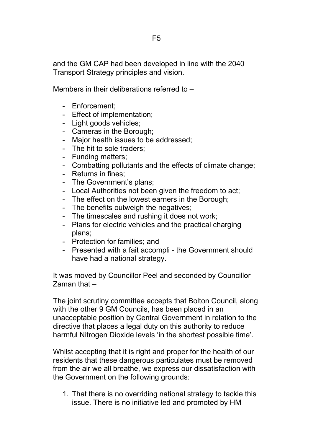and the GM CAP had been developed in line with the 2040 Transport Strategy principles and vision.

Members in their deliberations referred to –

- Enforcement;
- Effect of implementation;
- Light goods vehicles;
- Cameras in the Borough;
- Major health issues to be addressed;
- The hit to sole traders;
- Funding matters;
- Combatting pollutants and the effects of climate change;
- Returns in fines;
- The Government's plans;
- Local Authorities not been given the freedom to act;
- The effect on the lowest earners in the Borough;
- The benefits outweigh the negatives;
- The timescales and rushing it does not work;
- Plans for electric vehicles and the practical charging plans;
- Protection for families; and
- Presented with a fait accompli the Government should have had a national strategy.

It was moved by Councillor Peel and seconded by Councillor Zaman that –

The joint scrutiny committee accepts that Bolton Council, along with the other 9 GM Councils, has been placed in an unacceptable position by Central Government in relation to the directive that places a legal duty on this authority to reduce harmful Nitrogen Dioxide levels 'in the shortest possible time'.

Whilst accepting that it is right and proper for the health of our residents that these dangerous particulates must be removed from the air we all breathe, we express our dissatisfaction with the Government on the following grounds:

1. That there is no overriding national strategy to tackle this issue. There is no initiative led and promoted by HM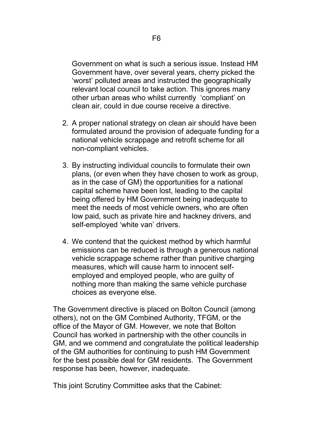Government on what is such a serious issue. Instead HM Government have, over several years, cherry picked the 'worst' polluted areas and instructed the geographically relevant local council to take action. This ignores many other urban areas who whilst currently 'compliant' on clean air, could in due course receive a directive.

- 2. A proper national strategy on clean air should have been formulated around the provision of adequate funding for a national vehicle scrappage and retrofit scheme for all non-compliant vehicles.
- 3. By instructing individual councils to formulate their own plans, (or even when they have chosen to work as group, as in the case of GM) the opportunities for a national capital scheme have been lost, leading to the capital being offered by HM Government being inadequate to meet the needs of most vehicle owners, who are often low paid, such as private hire and hackney drivers, and self-employed 'white van' drivers.
- 4. We contend that the quickest method by which harmful emissions can be reduced is through a generous national vehicle scrappage scheme rather than punitive charging measures, which will cause harm to innocent selfemployed and employed people, who are guilty of nothing more than making the same vehicle purchase choices as everyone else.

The Government directive is placed on Bolton Council (among others), not on the GM Combined Authority, TFGM, or the office of the Mayor of GM. However, we note that Bolton Council has worked in partnership with the other councils in GM, and we commend and congratulate the political leadership of the GM authorities for continuing to push HM Government for the best possible deal for GM residents. The Government response has been, however, inadequate.

This joint Scrutiny Committee asks that the Cabinet: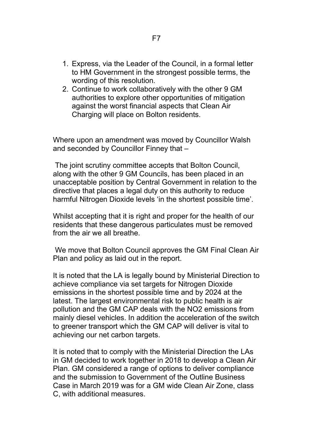- 1. Express, via the Leader of the Council, in a formal letter to HM Government in the strongest possible terms, the wording of this resolution.
- 2. Continue to work collaboratively with the other 9 GM authorities to explore other opportunities of mitigation against the worst financial aspects that Clean Air Charging will place on Bolton residents.

Where upon an amendment was moved by Councillor Walsh and seconded by Councillor Finney that –

The joint scrutiny committee accepts that Bolton Council, along with the other 9 GM Councils, has been placed in an unacceptable position by Central Government in relation to the directive that places a legal duty on this authority to reduce harmful Nitrogen Dioxide levels 'in the shortest possible time'.

Whilst accepting that it is right and proper for the health of our residents that these dangerous particulates must be removed from the air we all breathe.

We move that Bolton Council approves the GM Final Clean Air Plan and policy as laid out in the report.

It is noted that the LA is legally bound by Ministerial Direction to achieve compliance via set targets for Nitrogen Dioxide emissions in the shortest possible time and by 2024 at the latest. The largest environmental risk to public health is air pollution and the GM CAP deals with the NO2 emissions from mainly diesel vehicles. In addition the acceleration of the switch to greener transport which the GM CAP will deliver is vital to achieving our net carbon targets.

It is noted that to comply with the Ministerial Direction the LAs in GM decided to work together in 2018 to develop a Clean Air Plan. GM considered a range of options to deliver compliance and the submission to Government of the Outline Business Case in March 2019 was for a GM wide Clean Air Zone, class C, with additional measures.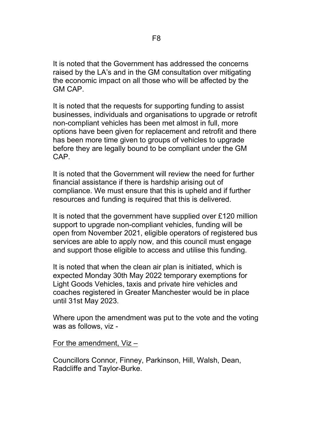It is noted that the Government has addressed the concerns raised by the LA's and in the GM consultation over mitigating the economic impact on all those who will be affected by the GM CAP.

It is noted that the requests for supporting funding to assist businesses, individuals and organisations to upgrade or retrofit non-compliant vehicles has been met almost in full, more options have been given for replacement and retrofit and there has been more time given to groups of vehicles to upgrade before they are legally bound to be compliant under the GM CAP.

It is noted that the Government will review the need for further financial assistance if there is hardship arising out of compliance. We must ensure that this is upheld and if further resources and funding is required that this is delivered.

It is noted that the government have supplied over £120 million support to upgrade non-compliant vehicles, funding will be open from November 2021, eligible operators of registered bus services are able to apply now, and this council must engage and support those eligible to access and utilise this funding.

It is noted that when the clean air plan is initiated, which is expected Monday 30th May 2022 temporary exemptions for Light Goods Vehicles, taxis and private hire vehicles and coaches registered in Greater Manchester would be in place until 31st May 2023.

Where upon the amendment was put to the vote and the voting was as follows, viz -

#### For the amendment, Viz –

Councillors Connor, Finney, Parkinson, Hill, Walsh, Dean, Radcliffe and Taylor-Burke.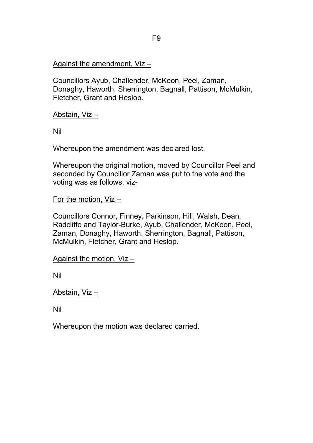# Against the amendment, Viz –

Councillors Ayub, Challender, McKeon, Peel, Zaman, Donaghy, Haworth, Sherrington, Bagnall, Pattison, McMulkin, Fletcher, Grant and Heslop.

Abstain, Viz –

Nil

Whereupon the amendment was declared lost.

Whereupon the original motion, moved by Councillor Peel and seconded by Councillor Zaman was put to the vote and the voting was as follows, viz-

For the motion, Viz –

Councillors Connor, Finney, Parkinson, Hill, Walsh, Dean, Radcliffe and Taylor-Burke, Ayub, Challender, McKeon, Peel, Zaman, Donaghy, Haworth, Sherrington, Bagnall, Pattison, McMulkin, Fletcher, Grant and Heslop.

```
Against the motion, Viz –
```
Nil

Abstain, Viz –

Nil

Whereupon the motion was declared carried.